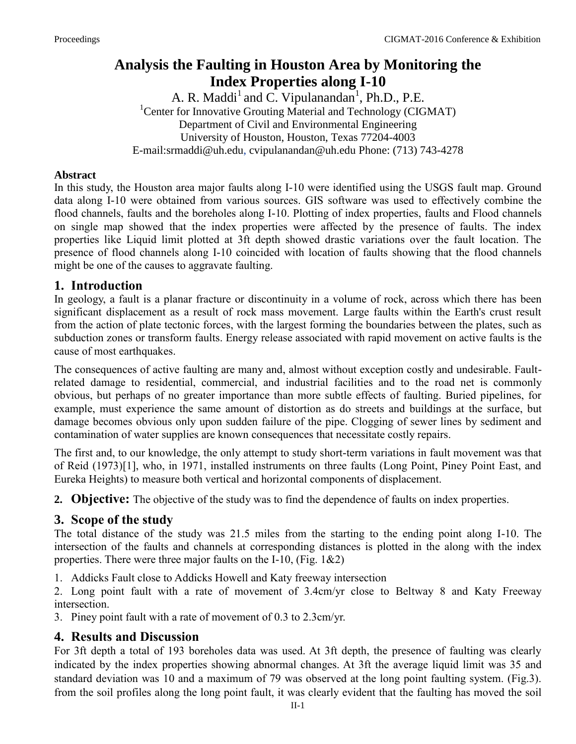# **Analysis the Faulting in Houston Area by Monitoring the Index Properties along I-10**

A. R. Maddi<sup>1</sup> and C. Vipulanandan<sup>1</sup>, Ph.D., P.E. <sup>1</sup>Center for Innovative Grouting Material and Technology (CIGMAT) Department of Civil and Environmental Engineering University of Houston, Houston, Texas 77204-4003 E-mail:srmaddi@uh.edu, cvipulanandan@uh.edu Phone: (713) 743-4278

#### **Abstract**

In this study, the Houston area major faults along I-10 were identified using the USGS fault map. Ground data along I-10 were obtained from various sources. GIS software was used to effectively combine the flood channels, faults and the boreholes along I-10. Plotting of index properties, faults and Flood channels on single map showed that the index properties were affected by the presence of faults. The index properties like Liquid limit plotted at 3ft depth showed drastic variations over the fault location. The presence of flood channels along I-10 coincided with location of faults showing that the flood channels might be one of the causes to aggravate faulting.

#### **1. Introduction**

In geology, a fault is a planar fracture or discontinuity in a volume of rock, across which there has been significant displacement as a result of rock mass movement. Large faults within the Earth's crust result from the action of plate tectonic forces, with the largest forming the boundaries between the plates, such as subduction zones or transform faults. Energy release associated with rapid movement on active faults is the cause of most earthquakes.

The consequences of active faulting are many and, almost without exception costly and undesirable. Faultrelated damage to residential, commercial, and industrial facilities and to the road net is commonly obvious, but perhaps of no greater importance than more subtle effects of faulting. Buried pipelines, for example, must experience the same amount of distortion as do streets and buildings at the surface, but damage becomes obvious only upon sudden failure of the pipe. Clogging of sewer lines by sediment and contamination of water supplies are known consequences that necessitate costly repairs.

The first and, to our knowledge, the only attempt to study short-term variations in fault movement was that of Reid (1973)[1], who, in 1971, installed instruments on three faults (Long Point, Piney Point East, and Eureka Heights) to measure both vertical and horizontal components of displacement.

**2. Objective:** The objective of the study was to find the dependence of faults on index properties.

### **3. Scope of the study**

The total distance of the study was 21.5 miles from the starting to the ending point along I-10. The intersection of the faults and channels at corresponding distances is plotted in the along with the index properties. There were three major faults on the I-10, (Fig.  $1\&2$ )

1. Addicks Fault close to Addicks Howell and Katy freeway intersection

2. Long point fault with a rate of movement of 3.4cm/yr close to Beltway 8 and Katy Freeway intersection.

3. Piney point fault with a rate of movement of 0.3 to 2.3cm/yr.

### **4. Results and Discussion**

For 3ft depth a total of 193 boreholes data was used. At 3ft depth, the presence of faulting was clearly indicated by the index properties showing abnormal changes. At 3ft the average liquid limit was 35 and standard deviation was 10 and a maximum of 79 was observed at the long point faulting system. (Fig.3). from the soil profiles along the long point fault, it was clearly evident that the faulting has moved the soil